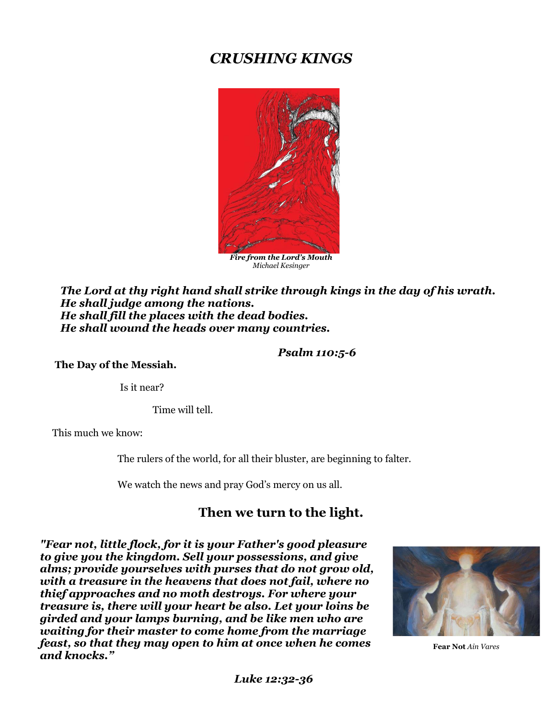# *CRUSHING KINGS*



*Michael Kesinger*

*The Lord at thy right hand shall strike through kings in the day of his wrath. He shall judge among the nations. He shall fill the places with the dead bodies. He shall wound the heads over many countries.*

#### *Psalm 110:5-6*

**The Day of the Messiah.**

Is it near?

Time will tell.

This much we know:

The rulers of the world, for all their bluster, are beginning to falter.

We watch the news and pray God's mercy on us all.

# **Then we turn to the light.**

*"Fear not, little flock, for it is your Father's good pleasure to give you the kingdom. Sell your possessions, and give alms; provide yourselves with purses that do not grow old, with a treasure in the heavens that does not fail, where no thief approaches and no moth destroys. For where your treasure is, there will your heart be also. Let your loins be girded and your lamps burning, and be like men who are waiting for their master to come home from the marriage feast, so that they may open to him at once when he comes and knocks."*



**Fear Not** *Ain Vares*